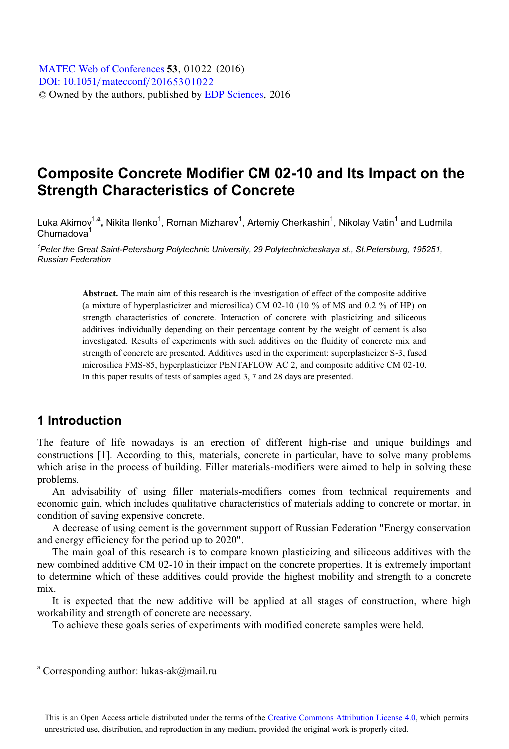# **Composite Concrete Modifier CM 02-10 and Its Impact on the Strength Characteristics of Concrete**

Luka Akimov<sup>1,a</sup>, Nikita Ilenko<sup>1</sup>, Roman Mizharev<sup>1</sup>, Artemiy Cherkashin<sup>1</sup>, Nikolay Vatin<sup>1</sup> and Ludmila  $Chumadova<sup>1</sup>$ 

*1 Peter the Great Saint-Petersburg Polytechnic University, 29 Polytechnicheskaya st., St.Petersburg, 195251, Russian Federation* 

> **Abstract.** The main aim of this research is the investigation of effect of the composite additive (a mixture of hyperplasticizer and microsilica) CM 02-10 (10 % of MS and 0.2 % of HP) on strength characteristics of concrete. Interaction of concrete with plasticizing and siliceous additives individually depending on their percentage content by the weight of cement is also investigated. Results of experiments with such additives on the fluidity of concrete mix and strength of concrete are presented. Additives used in the experiment: superplasticizer S-3, fused microsilica FMS-85, hyperplasticizer PENTAFLOW AC 2, and composite additive CM 02-10. In this paper results of tests of samples aged 3, 7 and 28 days are presented.

### **1 Introduction**

-

The feature of life nowadays is an erection of different high-rise and unique buildings and constructions [1]. According to this, materials, concrete in particular, have to solve many problems which arise in the process of building. Filler materials-modifiers were aimed to help in solving these problems.

An advisability of using filler materials-modifiers comes from technical requirements and economic gain, which includes qualitative characteristics of materials adding to concrete or mortar, in condition of saving expensive concrete.

A decrease of using cement is the government support of Russian Federation "Energy conservation and energy efficiency for the period up to 2020".

The main goal of this research is to compare known plasticizing and siliceous additives with the new combined additive CM 02-10 in their impact on the concrete properties. It is extremely important to determine which of these additives could provide the highest mobility and strength to a concrete mix.

It is expected that the new additive will be applied at all stages of construction, where high workability and strength of concrete are necessary.

To achieve these goals series of experiments with modified concrete samples were held.

<sup>&</sup>lt;sup>a</sup> Corresponding author: lukas-ak@mail.ru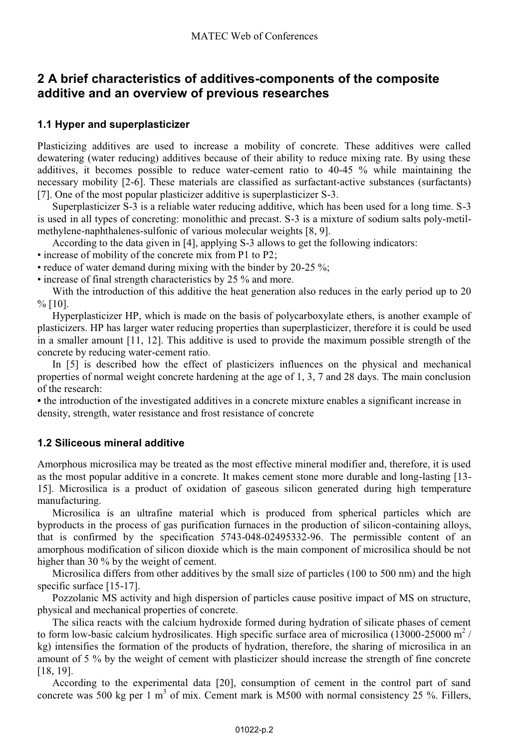### **2 A brief characteristics of additives-components of the composite additive and an overview of previous researches**

### **1.1 Hyper and superplasticizer**

Plasticizing additives are used to increase a mobility of concrete. These additives were called dewatering (water reducing) additives because of their ability to reduce mixing rate. By using these additives, it becomes possible to reduce water-cement ratio to 40-45 % while maintaining the necessary mobility [2-6]. These materials are classified as surfactant-active substances (surfactants) [7]. One of the most popular plasticizer additive is superplasticizer S-3.

Superplasticizer S-3 is a reliable water reducing additive, which has been used for a long time. S-3 is used in all types of concreting: monolithic and precast. S-3 is a mixture of sodium salts poly-metilmethylene-naphthalenes-sulfonic of various molecular weights [8, 9].

According to the data given in [4], applying S-3 allows to get the following indicators:

• increase of mobility of the concrete mix from P1 to P2;

• reduce of water demand during mixing with the binder by 20-25 %;

• increase of final strength characteristics by 25 % and more.

With the introduction of this additive the heat generation also reduces in the early period up to 20  $\%$  [10].

Hyperplasticizer HP, which is made on the basis of polycarboxylate ethers, is another example of plasticizers. HP has larger water reducing properties than superplasticizer, therefore it is could be used in a smaller amount [11, 12]. This additive is used to provide the maximum possible strength of the concrete by reducing water-cement ratio.

In [5] is described how the effect of plasticizers influences on the physical and mechanical properties of normal weight concrete hardening at the age of 1, 3, 7 and 28 days. The main conclusion of the research:

**•** the introduction of the investigated additives in a concrete mixture enables a significant increase in density, strength, water resistance and frost resistance of concrete

### **1.2 Siliceous mineral additive**

Amorphous microsilica may be treated as the most effective mineral modifier and, therefore, it is used as the most popular additive in a concrete. It makes cement stone more durable and long-lasting [13- 15]. Microsilica is a product of oxidation of gaseous silicon generated during high temperature manufacturing.

Microsilica is an ultrafine material which is produced from spherical particles which are byproducts in the process of gas purification furnaces in the production of silicon-containing alloys, that is confirmed by the specification 5743-048-02495332-96. The permissible content of an amorphous modification of silicon dioxide which is the main component of microsilica should be not higher than 30 % by the weight of cement.

Microsilica differs from other additives by the small size of particles (100 to 500 nm) and the high specific surface [15-17].

Pozzolanic MS activity and high dispersion of particles cause positive impact of MS on structure, physical and mechanical properties of concrete.

The silica reacts with the calcium hydroxide formed during hydration of silicate phases of cement to form low-basic calcium hydrosilicates. High specific surface area of microsilica (13000-25000 m<sup>2</sup>/ kg) intensifies the formation of the products of hydration, therefore, the sharing of microsilica in an amount of 5 % by the weight of cement with plasticizer should increase the strength of fine concrete [18, 19].

According to the experimental data [20], consumption of cement in the control part of sand concrete was 500 kg per 1 m<sup>3</sup> of mix. Cement mark is M500 with normal consistency 25 %. Fillers,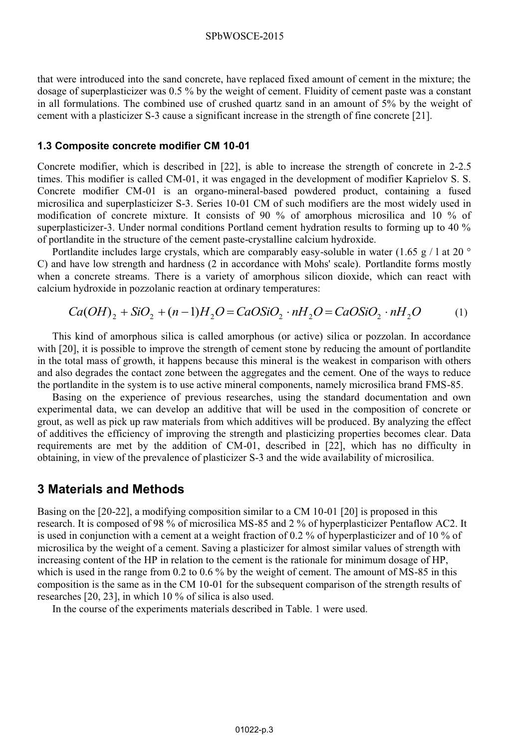that were introduced into the sand concrete, have replaced fixed amount of cement in the mixture; the dosage of superplasticizer was 0.5 % by the weight of cement. Fluidity of cement paste was a constant in all formulations. The combined use of crushed quartz sand in an amount of 5% by the weight of cement with a plasticizer S-3 cause a significant increase in the strength of fine concrete [21].

#### **1.3 Composite concrete modifier CM 10-01**

Concrete modifier, which is described in [22], is able to increase the strength of concrete in 2-2.5 times. This modifier is called CM-01, it was engaged in the development of modifier Kaprielov S. S. Concrete modifier CM-01 is an organo-mineral-based powdered product, containing a fused microsilica and superplasticizer S-3. Series 10-01 CM of such modifiers are the most widely used in modification of concrete mixture. It consists of 90 % of amorphous microsilica and 10 % of superplasticizer-3. Under normal conditions Portland cement hydration results to forming up to 40 % of portlandite in the structure of the cement paste-crystalline calcium hydroxide.

Portlandite includes large crystals, which are comparably easy-soluble in water (1.65 g / 1 at 20  $\degree$ ) C) and have low strength and hardness (2 in accordance with Mohs' scale). Portlandite forms mostly when a concrete streams. There is a variety of amorphous silicon dioxide, which can react with calcium hydroxide in pozzolanic reaction at ordinary temperatures:

$$
Ca(OH)_2 + SiO_2 + (n-1)H_2O = CaOSiO_2 \cdot nH_2O = CaOSiO_2 \cdot nH_2O
$$
 (1)

This kind of amorphous silica is called amorphous (or active) silica or pozzolan. In accordance with [20], it is possible to improve the strength of cement stone by reducing the amount of portlandite in the total mass of growth, it happens because this mineral is the weakest in comparison with others and also degrades the contact zone between the aggregates and the cement. One of the ways to reduce the portlandite in the system is to use active mineral components, namely microsilica brand FMS-85.

Basing on the experience of previous researches, using the standard documentation and own experimental data, we can develop an additive that will be used in the composition of concrete or grout, as well as pick up raw materials from which additives will be produced. By analyzing the effect of additives the efficiency of improving the strength and plasticizing properties becomes clear. Data requirements are met by the addition of CM-01, described in [22], which has no difficulty in obtaining, in view of the prevalence of plasticizer S-3 and the wide availability of microsilica.

### **3 Materials and Methods**

Basing on the [20-22], a modifying composition similar to a CM 10-01 [20] is proposed in this research. It is composed of 98 % of microsilica MS-85 and 2 % of hyperplasticizer Pentaflow AC2. It is used in conjunction with a cement at a weight fraction of 0.2 % of hyperplasticizer and of 10 % of microsilica by the weight of a cement. Saving a plasticizer for almost similar values of strength with increasing content of the HP in relation to the cement is the rationale for minimum dosage of HP, which is used in the range from 0.2 to 0.6 % by the weight of cement. The amount of MS-85 in this composition is the same as in the CM 10-01 for the subsequent comparison of the strength results of researches [20, 23], in which 10 % of silica is also used.

In the course of the experiments materials described in Table. 1 were used.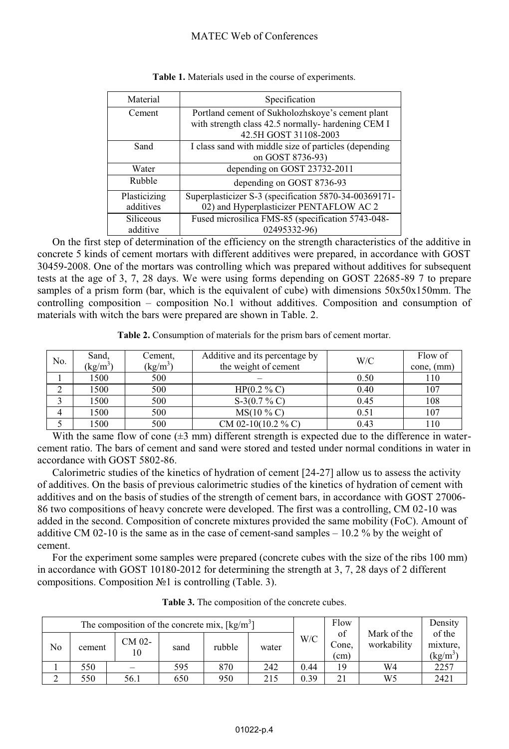| Material     | Specification                                         |
|--------------|-------------------------------------------------------|
| Cement       | Portland cement of Sukholozhskoye's cement plant      |
|              | with strength class 42.5 normally-hardening CEM I     |
|              | 42.5H GOST 31108-2003                                 |
| Sand         | I class sand with middle size of particles (depending |
|              | on GOST 8736-93)                                      |
| Water        | depending on GOST 23732-2011                          |
| Rubble       | depending on GOST 8736-93                             |
| Plasticizing | Superplasticizer S-3 (specification 5870-34-00369171- |
| additives    | 02) and Hyperplasticizer PENTAFLOW AC 2               |
| Siliceous    | Fused microsilica FMS-85 (specification 5743-048-     |
| additive     | 02495332-96)                                          |

|  |  | Table 1. Materials used in the course of experiments. |  |
|--|--|-------------------------------------------------------|--|
|  |  |                                                       |  |

On the first step of determination of the efficiency on the strength characteristics of the additive in concrete 5 kinds of cement mortars with different additives were prepared, in accordance with GOST 30459-2008. One of the mortars was controlling which was prepared without additives for subsequent tests at the age of 3, 7, 28 days. We were using forms depending on GOST 22685-89 7 to prepare samples of a prism form (bar, which is the equivalent of cube) with dimensions  $50x50x150mm$ . The controlling composition – composition No.1 without additives. Composition and consumption of materials with witch the bars were prepared are shown in Table. 2.

**Table 2.** Consumption of materials for the prism bars of cement mortar.

| No. | Sand,<br>$\left(\frac{kg}{m^3}\right)$ | Cement,<br>$(kg/m^3)$ | Additive and its percentage by<br>the weight of cement | W/C  | Flow of<br>cone, (mm) |
|-----|----------------------------------------|-----------------------|--------------------------------------------------------|------|-----------------------|
|     | 1500                                   | 500                   |                                                        | 0.50 | 110                   |
|     | 1500                                   | 500                   | $HP(0.2 \% C)$                                         | 0.40 | 107                   |
|     | 1500                                   | 500                   | $S-3(0.7\% C)$                                         | 0.45 | 108                   |
| 4   | 1500                                   | 500                   | $MS(10\% C)$                                           | 0.51 | 107                   |
|     | 1500                                   | 500                   | CM 02-10(10.2 % C)                                     | 0.43 | 110                   |

With the same flow of cone  $(\pm 3 \text{ mm})$  different strength is expected due to the difference in watercement ratio. The bars of cement and sand were stored and tested under normal conditions in water in accordance with GOST 5802-86.

Calorimetric studies of the kinetics of hydration of cement [24-27] allow us to assess the activity of additives. On the basis of previous calorimetric studies of the kinetics of hydration of cement with additives and on the basis of studies of the strength of cement bars, in accordance with GOST 27006- 86 two compositions of heavy concrete were developed. The first was a controlling, CM 02-10 was added in the second. Composition of concrete mixtures provided the same mobility (FoC). Amount of additive CM 02-10 is the same as in the case of cement-sand samples  $-10.2\%$  by the weight of cement.

For the experiment some samples were prepared (concrete cubes with the size of the ribs 100 mm) in accordance with GOST 10180-2012 for determining the strength at 3, 7, 28 days of 2 different compositions. Composition №1 is controlling (Table. 3).

| The composition of the concrete mix, $\lceil \text{kg/m}^3 \rceil$ |        |              |      |        |       |      | Flow        |                     | Density                    |                                  |
|--------------------------------------------------------------------|--------|--------------|------|--------|-------|------|-------------|---------------------|----------------------------|----------------------------------|
| No                                                                 | cement | CM 02-<br>10 | sand | rubble | water | W/C  |             | of<br>Cone,<br>(cm) | Mark of the<br>workability | of the<br>mixture,<br>$(kg/m^3)$ |
|                                                                    | 550    |              | 595  | 870    | 242   | 0.44 | 19          | W4                  | 2257                       |                                  |
| ◠                                                                  | 550    | 56.1         | 650  | 950    | 215   | 0.39 | $\bigcap$ 1 | W5                  | 2421                       |                                  |

**Table 3.** The composition of the concrete cubes.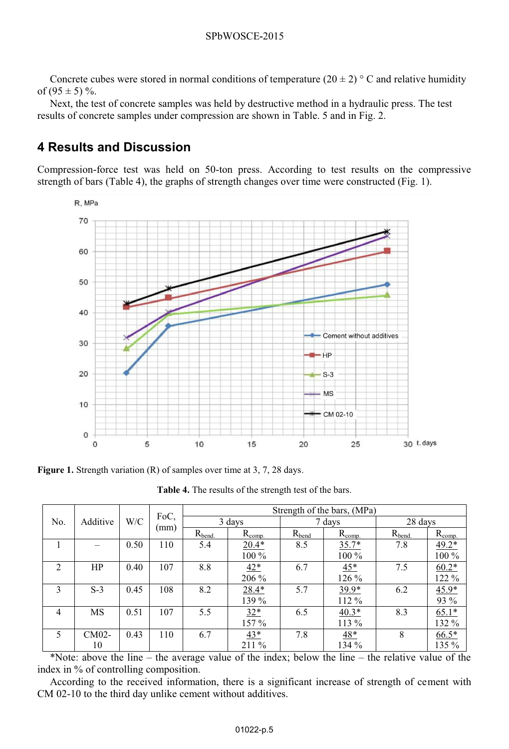Concrete cubes were stored in normal conditions of temperature (20  $\pm$  2) ° C and relative humidity of  $(95 \pm 5)$  %.

Next, the test of concrete samples was held by destructive method in a hydraulic press. The test results of concrete samples under compression are shown in Table. 5 and in Fig. 2.

## **4 Results and Discussion**

Compression-force test was held on 50-ton press. According to test results on the compressive strength of bars (Table 4), the graphs of strength changes over time were constructed (Fig. 1).



**Figure 1.** Strength variation (R) of samples over time at 3, 7, 28 days.

|                               |       |      |      | Strength of the bars, (MPa) |             |            |             |             |                    |  |
|-------------------------------|-------|------|------|-----------------------------|-------------|------------|-------------|-------------|--------------------|--|
| Additive<br>No.               |       | W/C  | FoC, |                             | 3 days      |            | 7 days      | 28 days     |                    |  |
|                               |       |      | (mm) | $R_{bend.}$                 | $R_{comp.}$ | $R_{bend}$ | $R_{comp.}$ | $R_{bend.}$ | $R_{\text{comp.}}$ |  |
|                               |       | 0.50 | 110  | 5.4                         | $20.4*$     | 8.5        | $35.7*$     | 7.8         | $49.2*$            |  |
|                               |       |      |      |                             | 100 %       |            | 100 %       |             | 100 %              |  |
| $\mathfrak{D}_{\mathfrak{p}}$ | HP    | 0.40 | 107  | 8.8                         | $42*$       | 6.7        | $45*$       | 7.5         | $60.2*$            |  |
|                               |       |      |      |                             | 206 %       |            | 126 %       |             | 122 %              |  |
| $\mathcal{E}$                 | $S-3$ | 0.45 | 108  | 8.2                         | $28.4*$     | 5.7        | $39.9*$     | 6.2         | $45.9*$            |  |
|                               |       |      |      |                             | 139 %       |            | 112 %       |             | 93 %               |  |
| $\overline{4}$                | MS    | 0.51 | 107  | 5.5                         | $32*$       | 6.5        | $40.3*$     | 8.3         | $65.1*$            |  |
|                               |       |      |      |                             | 157 %       |            | 113 %       |             | 132 %              |  |
| 5                             | CM02- | 0.43 | 110  | 6.7                         | $43*$       | 7.8        | $48*$       | 8           | $66.5*$            |  |
|                               | 10    |      |      |                             | 211 %       |            | 134 %       |             | 135 %              |  |

**Table 4.** The results of the strength test of the bars.

\*Note: above the line  $-$  the average value of the index; below the line  $-$  the relative value of the index in % of controlling composition.

According to the received information, there is a significant increase of strength of cement with CM 02-10 to the third day unlike cement without additives.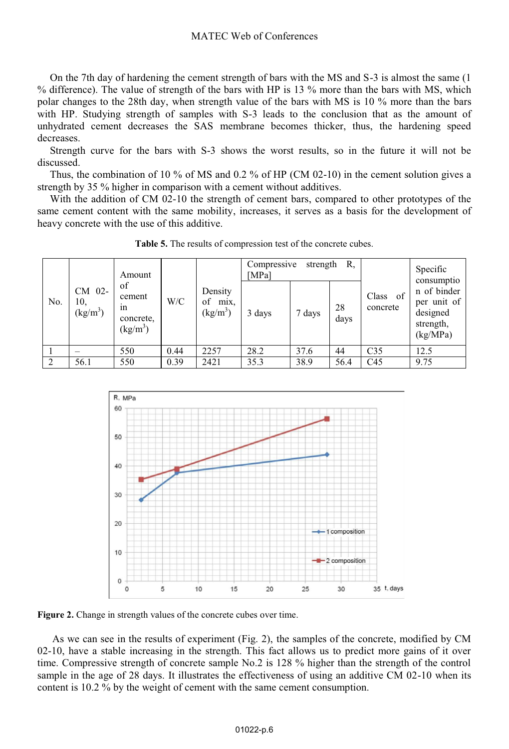On the 7th day of hardening the cement strength of bars with the MS and S-3 is almost the same (1 % difference). The value of strength of the bars with HP is 13 % more than the bars with MS, which polar changes to the 28th day, when strength value of the bars with MS is 10 % more than the bars with HP. Studying strength of samples with S-3 leads to the conclusion that as the amount of unhydrated cement decreases the SAS membrane becomes thicker, thus, the hardening speed decreases.

Strength curve for the bars with S-3 shows the worst results, so in the future it will not be discussed.

Thus, the combination of 10 % of MS and 0.2 % of HP (CM 02-10) in the cement solution gives a strength by 35 % higher in comparison with a cement without additives.

With the addition of CM 02-10 the strength of cement bars, compared to other prototypes of the same cement content with the same mobility, increases, it serves as a basis for the development of heavy concrete with the use of this additive.

|               |                                       | Amount                                                  |      |                                     | Compressive<br>[MPa] | strength |            | Specific                           |                                                                               |
|---------------|---------------------------------------|---------------------------------------------------------|------|-------------------------------------|----------------------|----------|------------|------------------------------------|-------------------------------------------------------------------------------|
| No.           | CM 02-<br>10.<br>(kg/m <sup>3</sup> ) | of<br>cement<br>1n<br>concrete,<br>(kg/m <sup>3</sup> ) | W/C  | Density<br>of<br>mix,<br>$(kg/m^3)$ | 3 days               | 7 days   | 28<br>days | Class<br><sub>of</sub><br>concrete | consumptio<br>n of binder<br>per unit of<br>designed<br>strength,<br>(kg/MPa) |
|               |                                       | 550                                                     | 0.44 | 2257                                | 28.2                 | 37.6     | 44         | C <sub>35</sub>                    | 12.5                                                                          |
| $\mathcal{D}$ | 56.1                                  | 550                                                     | 0.39 | 2421                                | 35.3                 | 38.9     | 56.4       | C <sub>45</sub>                    | 9.75                                                                          |

**Table 5.** The results of compression test of the concrete cubes.



**Figure 2.** <sup>С</sup>hange in strength values of the concrete cubes over time.

As we can see in the results of experiment (Fig. 2), the samples of the concrete, modified by CM 02-10, have a stable increasing in the strength. This fact allows us to predict more gains of it over time. Compressive strength of concrete sample No.2 is 128 % higher than the strength of the control sample in the age of 28 days. It illustrates the effectiveness of using an additive CM 02-10 when its content is 10.2 % by the weight of cement with the same cement consumption.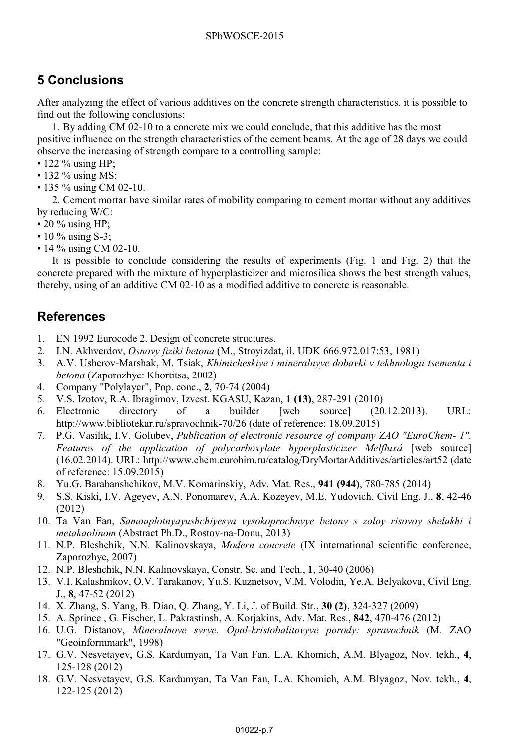# **5 Conclusions**

After analyzing the effect of various additives on the concrete strength characteristics, it is possible to find out the following conclusions:

1. By adding CM 02-10 to a concrete mix we could conclude, that this additive has the most positive influence on the strength characteristics of the cement beams. At the age of 28 days we could observe the increasing of strength compare to a controlling sample:

- 122 % using HP;
- 132 % using MS;
- 135 % using CM 02-10.

2. Cement mortar have similar rates of mobility comparing to cement mortar without any additives by reducing W/C:

- $\cdot$  20 % using HP;
- 10 % using S-3;
- 14 % using CM 02-10.

It is possible to conclude considering the results of experiments (Fig. 1 and Fig. 2) that the concrete prepared with the mixture of hyperplasticizer and microsilica shows the best strength values, thereby, using of an additive CM 02-10 as a modified additive to concrete is reasonable.

### **References**

- 1. EN 1992 Eurocode 2. Design of concrete structures.
- 2. I.N. Akhverdov, *Osnovy fiziki betona* (M., Stroyizdat, il. UDK 666.972.017:53, 1981)
- 3. A.V. Usherov-Marshak, M. Tsiak, *Khimicheskiye i mineralnyye dobavki v tekhnologii tsementa i betona* (Zaporozhye: Khortitsa, 2002)
- 4. Company "Polylayer", Pop. conc., **2**, 70-74 (2004)
- 5. V.S. Izotov, R.A. Ibragimov, Izvest. KGASU, Kazan, **1 (13)**, 287-291 (2010)
- $(20.12.2013)$ . URL: http://www.bibliotekar.ru/spravochnik-70/26 (date of reference: 18.09.2015)
- 7. P.G. Vasilik, I.V. Golubev, *Publication of electronic resource of company ZAO "EuroChem- 1". Features of the application of polycarboxylate hyperplasticizer Melfluxâ* [web source] (16.02.2014). URL: http://www.chem.eurohim.ru/catalog/DryMortarAdditives/articles/art52 (date of reference: 15.09.2015)
- 8. Yu.G. Barabanshchikov, M.V. Komarinskiy, Adv. Mat. Res., **941 (944)**, 780-785 (2014)
- 9. S.S. Kiski, I.V. Ageyev, A.N. Ponomarev, A.A. Kozeyev, M.E. Yudovich, Civil Eng. J., **8**, 42-46 (2012)
- 10. Ta Van Fan, *Samouplotnyayushchiyesya vysokoprochnyye betony s zoloy risovoy shelukhi i metakaolinom* (Abstract Ph.D., Rostov-na-Donu, 2013)
- 11. N.P. Bleshchik, N.N. Kalinovskaya, *Modern concrete* (IX international scientific conference, Zaporozhye, 2007)
- 12. N.P. Bleshchik, N.N. Kalinovskaya, Constr. Sc. and Tech., **1**, 30-40 (2006)
- 13. V.I. Kalashnikov, O.V. Tarakanov, Yu.S. Kuznetsov, V.M. Volodin, Ye.A. Belyakova, Civil Eng. J., **8**, 47-52 (2012)
- 14. X. Zhang, S. Yang, B. Diao, Q. Zhang, Y. Li, J. of Build. Str., **30 (2)**, 324-327 (2009)
- 15. A. Sprince , G. Fischer, L. Pakrastinsh, A. Korjakins, Adv. Mat. Res., **842**, 470-476 (2012)
- 16. U.G. Distanov, *Mineralnoye syrye. Opal-kristobalitovyye porody: spravochnik* (M. ZAO "Geoinformmark", 1998)
- 17. G.V. Nesvetayev, G.S. Kardumyan, Ta Van Fan, L.A. Khomich, A.M. Blyagoz, Nov. tekh., **4**, 125-128 (2012)
- 18. G.V. Nesvetayev, G.S. Kardumyan, Ta Van Fan, L.A. Khomich, A.M. Blyagoz, Nov. tekh., **4**, 122-125 (2012)